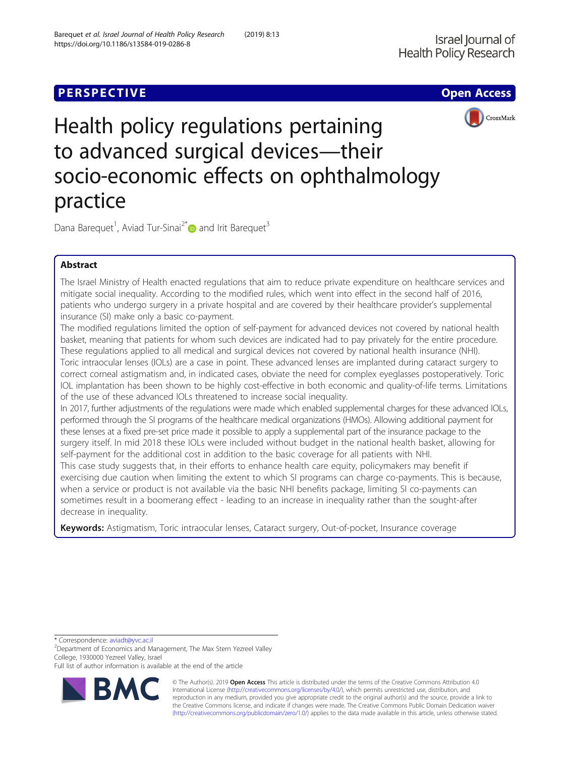# **PERSPECTIVE ACCESS AND LOCAL CONTRACT CONTRACT OF ACCESS**





Health policy regulations pertaining to advanced surgical devices—their socio-economic effects on ophthalmology practice

Dana Barequet<sup>1</sup>, Aviad Tur-Sinai<sup>2[\\*](http://orcid.org/0000-0002-4802-455X)</sup> and Irit Barequet<sup>3</sup>

# Abstract

The Israel Ministry of Health enacted regulations that aim to reduce private expenditure on healthcare services and mitigate social inequality. According to the modified rules, which went into effect in the second half of 2016, patients who undergo surgery in a private hospital and are covered by their healthcare provider's supplemental insurance (SI) make only a basic co-payment.

The modified regulations limited the option of self-payment for advanced devices not covered by national health basket, meaning that patients for whom such devices are indicated had to pay privately for the entire procedure. These regulations applied to all medical and surgical devices not covered by national health insurance (NHI). Toric intraocular lenses (IOLs) are a case in point. These advanced lenses are implanted during cataract surgery to correct corneal astigmatism and, in indicated cases, obviate the need for complex eyeglasses postoperatively. Toric IOL implantation has been shown to be highly cost-effective in both economic and quality-of-life terms. Limitations of the use of these advanced IOLs threatened to increase social inequality.

In 2017, further adjustments of the regulations were made which enabled supplemental charges for these advanced IOLs, performed through the SI programs of the healthcare medical organizations (HMOs). Allowing additional payment for these lenses at a fixed pre-set price made it possible to apply a supplemental part of the insurance package to the surgery itself. In mid 2018 these IOLs were included without budget in the national health basket, allowing for self-payment for the additional cost in addition to the basic coverage for all patients with NHI.

This case study suggests that, in their efforts to enhance health care equity, policymakers may benefit if exercising due caution when limiting the extent to which SI programs can charge co-payments. This is because, when a service or product is not available via the basic NHI benefits package, limiting SI co-payments can sometimes result in a boomerang effect - leading to an increase in inequality rather than the sought-after decrease in inequality.

Keywords: Astigmatism, Toric intraocular lenses, Cataract surgery, Out-of-pocket, Insurance coverage

\* Correspondence: [aviadt@yvc.ac.il](mailto:aviadt@yvc.ac.il) <sup>2</sup>

<sup>2</sup>Department of Economics and Management, The Max Stern Yezreel Valley College, 1930000 Yezreel Valley, Israel

Full list of author information is available at the end of the article



© The Author(s). 2019 Open Access This article is distributed under the terms of the Creative Commons Attribution 4.0 International License [\(http://creativecommons.org/licenses/by/4.0/](http://creativecommons.org/licenses/by/4.0/)), which permits unrestricted use, distribution, and reproduction in any medium, provided you give appropriate credit to the original author(s) and the source, provide a link to the Creative Commons license, and indicate if changes were made. The Creative Commons Public Domain Dedication waiver [\(http://creativecommons.org/publicdomain/zero/1.0/](http://creativecommons.org/publicdomain/zero/1.0/)) applies to the data made available in this article, unless otherwise stated.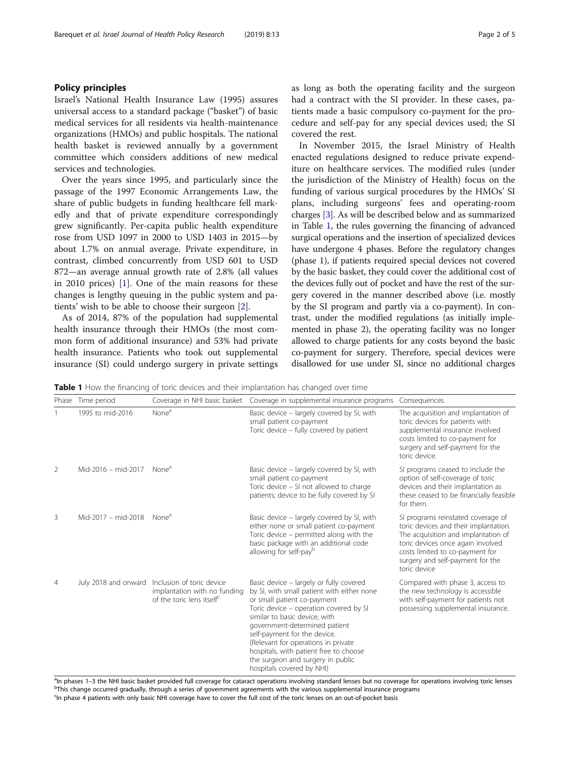# <span id="page-1-0"></span>Policy principles

Israel's National Health Insurance Law (1995) assures universal access to a standard package ("basket") of basic medical services for all residents via health-maintenance organizations (HMOs) and public hospitals. The national health basket is reviewed annually by a government committee which considers additions of new medical services and technologies.

Over the years since 1995, and particularly since the passage of the 1997 Economic Arrangements Law, the share of public budgets in funding healthcare fell markedly and that of private expenditure correspondingly grew significantly. Per-capita public health expenditure rose from USD 1097 in 2000 to USD 1403 in 2015—by about 1.7% on annual average. Private expenditure, in contrast, climbed concurrently from USD 601 to USD 872—an average annual growth rate of 2.8% (all values in 2010 prices) [[1\]](#page-4-0). One of the main reasons for these changes is lengthy queuing in the public system and patients' wish to be able to choose their surgeon [[2](#page-4-0)].

As of 2014, 87% of the population had supplemental health insurance through their HMOs (the most common form of additional insurance) and 53% had private health insurance. Patients who took out supplemental insurance (SI) could undergo surgery in private settings as long as both the operating facility and the surgeon had a contract with the SI provider. In these cases, patients made a basic compulsory co-payment for the procedure and self-pay for any special devices used; the SI covered the rest.

In November 2015, the Israel Ministry of Health enacted regulations designed to reduce private expenditure on healthcare services. The modified rules (under the jurisdiction of the Ministry of Health) focus on the funding of various surgical procedures by the HMOs' SI plans, including surgeons' fees and operating-room charges [\[3](#page-4-0)]. As will be described below and as summarized in Table 1, the rules governing the financing of advanced surgical operations and the insertion of specialized devices have undergone 4 phases. Before the regulatory changes (phase 1), if patients required special devices not covered by the basic basket, they could cover the additional cost of the devices fully out of pocket and have the rest of the surgery covered in the manner described above (i.e. mostly by the SI program and partly via a co-payment). In contrast, under the modified regulations (as initially implemented in phase 2), the operating facility was no longer allowed to charge patients for any costs beyond the basic co-payment for surgery. Therefore, special devices were disallowed for use under SI, since no additional charges

**Table 1** How the financing of toric devices and their implantation has changed over time

|   | Phase Time period    | Coverage in NHI basic basket                                                                       | Coverage in supplemental insurance programs                                                                                                                                                                                                                                                                                                                                                                         | Consequences                                                                                                                                                                                                                                   |
|---|----------------------|----------------------------------------------------------------------------------------------------|---------------------------------------------------------------------------------------------------------------------------------------------------------------------------------------------------------------------------------------------------------------------------------------------------------------------------------------------------------------------------------------------------------------------|------------------------------------------------------------------------------------------------------------------------------------------------------------------------------------------------------------------------------------------------|
|   | 1995 to mid-2016     | None <sup>a</sup>                                                                                  | Basic device - largely covered by SI, with<br>small patient co-payment<br>Toric device - fully covered by patient                                                                                                                                                                                                                                                                                                   | The acquisition and implantation of<br>toric devices for patients with<br>supplemental insurance involved<br>costs limited to co-payment for<br>surgery and self-payment for the<br>toric device.                                              |
| 2 | Mid-2016 - mid-2017  | None <sup>a</sup>                                                                                  | Basic device - largely covered by SI, with<br>small patient co-payment<br>Toric device - SI not allowed to charge<br>patients; device to be fully covered by SI                                                                                                                                                                                                                                                     | SI programs ceased to include the<br>option of self-coverage of toric<br>devices and their implantation as<br>these ceased to be financially feasible<br>for them.                                                                             |
| 3 | Mid-2017 - mid-2018  | None <sup>d</sup>                                                                                  | Basic device – largely covered by SI, with<br>either none or small patient co-payment<br>Toric device - permitted along with the<br>basic package with an additional code<br>allowing for self-payb                                                                                                                                                                                                                 | SI programs reinstated coverage of<br>toric devices and their implantation.<br>The acquisition and implantation of<br>toric devices once again involved<br>costs limited to co-payment for<br>surgery and self-payment for the<br>toric device |
| 4 | July 2018 and onward | Inclusion of toric device<br>implantation with no funding<br>of the toric lens itself <sup>c</sup> | Basic device - largely or fully covered<br>by SI, with small patient with either none<br>or small patient co-payment<br>Toric device - operation covered by SI<br>similar to basic device, with<br>government-determined patient<br>self-payment for the device.<br>(Relevant for operations in private<br>hospitals, with patient free to choose<br>the surgeon and surgery in public<br>hospitals covered by NHI) | Compared with phase 3, access to<br>the new technology is accessible<br>with self-payment for patients not<br>possessing supplemental insurance.                                                                                               |

<sup>a</sup>ln phases 1–3 the NHI basic basket provided full coverage for cataract operations involving standard lenses but no coverage for operations involving toric lenses <sup>b</sup>This change occurred gradually, through a series of government agreements with the various supplemental insurance programs

In phase 4 patients with only basic NHI coverage have to cover the full cost of the toric lenses on an out-of-pocket basis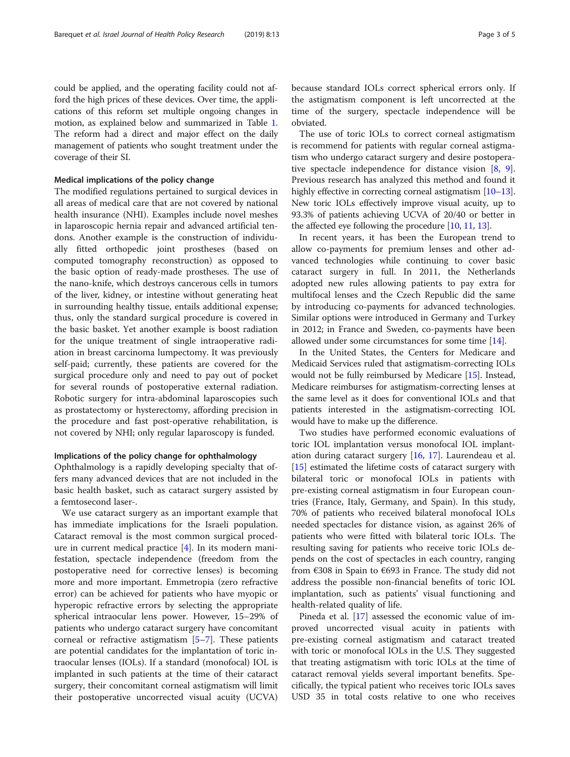could be applied, and the operating facility could not afford the high prices of these devices. Over time, the applications of this reform set multiple ongoing changes in motion, as explained below and summarized in Table [1](#page-1-0). The reform had a direct and major effect on the daily management of patients who sought treatment under the coverage of their SI.

# Medical implications of the policy change

The modified regulations pertained to surgical devices in all areas of medical care that are not covered by national health insurance (NHI). Examples include novel meshes in laparoscopic hernia repair and advanced artificial tendons. Another example is the construction of individually fitted orthopedic joint prostheses (based on computed tomography reconstruction) as opposed to the basic option of ready-made prostheses. The use of the nano-knife, which destroys cancerous cells in tumors of the liver, kidney, or intestine without generating heat in surrounding healthy tissue, entails additional expense; thus, only the standard surgical procedure is covered in the basic basket. Yet another example is boost radiation for the unique treatment of single intraoperative radiation in breast carcinoma lumpectomy. It was previously self-paid; currently, these patients are covered for the surgical procedure only and need to pay out of pocket for several rounds of postoperative external radiation. Robotic surgery for intra-abdominal laparoscopies such as prostatectomy or hysterectomy, affording precision in the procedure and fast post-operative rehabilitation, is not covered by NHI; only regular laparoscopy is funded.

# Implications of the policy change for ophthalmology

Ophthalmology is a rapidly developing specialty that offers many advanced devices that are not included in the basic health basket, such as cataract surgery assisted by a femtosecond laser-.

We use cataract surgery as an important example that has immediate implications for the Israeli population. Cataract removal is the most common surgical procedure in current medical practice [\[4](#page-4-0)]. In its modern manifestation, spectacle independence (freedom from the postoperative need for corrective lenses) is becoming more and more important. Emmetropia (zero refractive error) can be achieved for patients who have myopic or hyperopic refractive errors by selecting the appropriate spherical intraocular lens power. However, 15–29% of patients who undergo cataract surgery have concomitant corneal or refractive astigmatism  $[5-7]$  $[5-7]$  $[5-7]$  $[5-7]$ . These patients are potential candidates for the implantation of toric intraocular lenses (IOLs). If a standard (monofocal) IOL is implanted in such patients at the time of their cataract surgery, their concomitant corneal astigmatism will limit their postoperative uncorrected visual acuity (UCVA) because standard IOLs correct spherical errors only. If the astigmatism component is left uncorrected at the time of the surgery, spectacle independence will be obviated.

The use of toric IOLs to correct corneal astigmatism is recommend for patients with regular corneal astigmatism who undergo cataract surgery and desire postoperative spectacle independence for distance vision [\[8](#page-4-0), [9](#page-4-0)]. Previous research has analyzed this method and found it highly effective in correcting corneal astigmatism [\[10](#page-4-0)–[13](#page-4-0)]. New toric IOLs effectively improve visual acuity, up to 93.3% of patients achieving UCVA of 20/40 or better in the affected eye following the procedure [\[10](#page-4-0), [11](#page-4-0), [13\]](#page-4-0).

In recent years, it has been the European trend to allow co-payments for premium lenses and other advanced technologies while continuing to cover basic cataract surgery in full. In 2011, the Netherlands adopted new rules allowing patients to pay extra for multifocal lenses and the Czech Republic did the same by introducing co-payments for advanced technologies. Similar options were introduced in Germany and Turkey in 2012; in France and Sweden, co-payments have been allowed under some circumstances for some time [\[14](#page-4-0)].

In the United States, the Centers for Medicare and Medicaid Services ruled that astigmatism-correcting IOLs would not be fully reimbursed by Medicare [\[15\]](#page-4-0). Instead, Medicare reimburses for astigmatism-correcting lenses at the same level as it does for conventional IOLs and that patients interested in the astigmatism-correcting IOL would have to make up the difference.

Two studies have performed economic evaluations of toric IOL implantation versus monofocal IOL implantation during cataract surgery [\[16,](#page-4-0) [17](#page-4-0)]. Laurendeau et al. [[15\]](#page-4-0) estimated the lifetime costs of cataract surgery with bilateral toric or monofocal IOLs in patients with pre-existing corneal astigmatism in four European countries (France, Italy, Germany, and Spain). In this study, 70% of patients who received bilateral monofocal IOLs needed spectacles for distance vision, as against 26% of patients who were fitted with bilateral toric IOLs. The resulting saving for patients who receive toric IOLs depends on the cost of spectacles in each country, ranging from €308 in Spain to €693 in France. The study did not address the possible non-financial benefits of toric IOL implantation, such as patients' visual functioning and health-related quality of life.

Pineda et al. [[17\]](#page-4-0) assessed the economic value of improved uncorrected visual acuity in patients with pre-existing corneal astigmatism and cataract treated with toric or monofocal IOLs in the U.S. They suggested that treating astigmatism with toric IOLs at the time of cataract removal yields several important benefits. Specifically, the typical patient who receives toric IOLs saves USD 35 in total costs relative to one who receives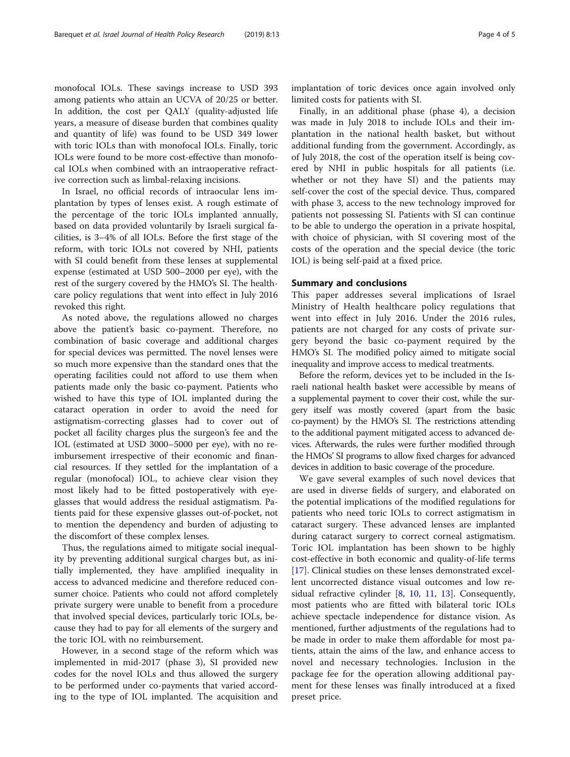monofocal IOLs. These savings increase to USD 393 among patients who attain an UCVA of 20/25 or better. In addition, the cost per QALY (quality-adjusted life years, a measure of disease burden that combines quality and quantity of life) was found to be USD 349 lower with toric IOLs than with monofocal IOLs. Finally, toric IOLs were found to be more cost-effective than monofocal IOLs when combined with an intraoperative refractive correction such as limbal-relaxing incisions.

In Israel, no official records of intraocular lens implantation by types of lenses exist. A rough estimate of the percentage of the toric IOLs implanted annually, based on data provided voluntarily by Israeli surgical facilities, is 3–4% of all IOLs. Before the first stage of the reform, with toric IOLs not covered by NHI, patients with SI could benefit from these lenses at supplemental expense (estimated at USD 500–2000 per eye), with the rest of the surgery covered by the HMO's SI. The healthcare policy regulations that went into effect in July 2016 revoked this right.

As noted above, the regulations allowed no charges above the patient's basic co-payment. Therefore, no combination of basic coverage and additional charges for special devices was permitted. The novel lenses were so much more expensive than the standard ones that the operating facilities could not afford to use them when patients made only the basic co-payment. Patients who wished to have this type of IOL implanted during the cataract operation in order to avoid the need for astigmatism-correcting glasses had to cover out of pocket all facility charges plus the surgeon's fee and the IOL (estimated at USD 3000–5000 per eye), with no reimbursement irrespective of their economic and financial resources. If they settled for the implantation of a regular (monofocal) IOL, to achieve clear vision they most likely had to be fitted postoperatively with eyeglasses that would address the residual astigmatism. Patients paid for these expensive glasses out-of-pocket, not to mention the dependency and burden of adjusting to the discomfort of these complex lenses.

Thus, the regulations aimed to mitigate social inequality by preventing additional surgical charges but, as initially implemented, they have amplified inequality in access to advanced medicine and therefore reduced consumer choice. Patients who could not afford completely private surgery were unable to benefit from a procedure that involved special devices, particularly toric IOLs, because they had to pay for all elements of the surgery and the toric IOL with no reimbursement.

However, in a second stage of the reform which was implemented in mid-2017 (phase 3), SI provided new codes for the novel IOLs and thus allowed the surgery to be performed under co-payments that varied according to the type of IOL implanted. The acquisition and implantation of toric devices once again involved only limited costs for patients with SI.

Finally, in an additional phase (phase 4), a decision was made in July 2018 to include IOLs and their implantation in the national health basket, but without additional funding from the government. Accordingly, as of July 2018, the cost of the operation itself is being covered by NHI in public hospitals for all patients (i.e. whether or not they have SI) and the patients may self-cover the cost of the special device. Thus, compared with phase 3, access to the new technology improved for patients not possessing SI. Patients with SI can continue to be able to undergo the operation in a private hospital, with choice of physician, with SI covering most of the costs of the operation and the special device (the toric IOL) is being self-paid at a fixed price.

# Summary and conclusions

This paper addresses several implications of Israel Ministry of Health healthcare policy regulations that went into effect in July 2016. Under the 2016 rules, patients are not charged for any costs of private surgery beyond the basic co-payment required by the HMO's SI. The modified policy aimed to mitigate social inequality and improve access to medical treatments.

Before the reform, devices yet to be included in the Israeli national health basket were accessible by means of a supplemental payment to cover their cost, while the surgery itself was mostly covered (apart from the basic co-payment) by the HMO's SI. The restrictions attending to the additional payment mitigated access to advanced devices. Afterwards, the rules were further modified through the HMOs' SI programs to allow fixed charges for advanced devices in addition to basic coverage of the procedure.

We gave several examples of such novel devices that are used in diverse fields of surgery, and elaborated on the potential implications of the modified regulations for patients who need toric IOLs to correct astigmatism in cataract surgery. These advanced lenses are implanted during cataract surgery to correct corneal astigmatism. Toric IOL implantation has been shown to be highly cost-effective in both economic and quality-of-life terms [[17\]](#page-4-0). Clinical studies on these lenses demonstrated excellent uncorrected distance visual outcomes and low residual refractive cylinder [\[8](#page-4-0), [10,](#page-4-0) [11](#page-4-0), [13\]](#page-4-0). Consequently, most patients who are fitted with bilateral toric IOLs achieve spectacle independence for distance vision. As mentioned, further adjustments of the regulations had to be made in order to make them affordable for most patients, attain the aims of the law, and enhance access to novel and necessary technologies. Inclusion in the package fee for the operation allowing additional payment for these lenses was finally introduced at a fixed preset price.